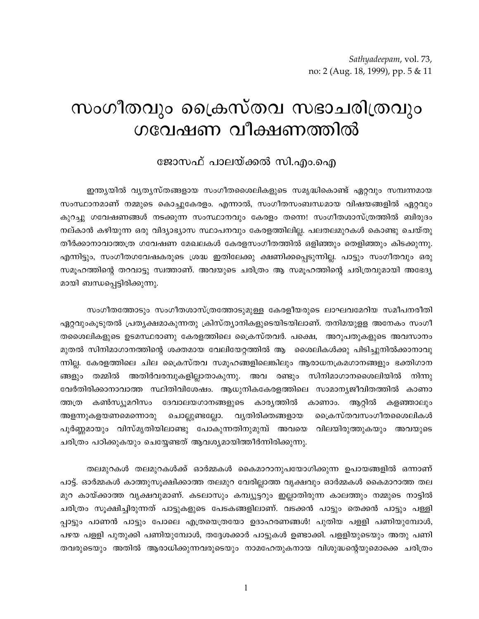## സംഗീതവും പ്രൈസ്തവ സഭാചരിത്രവും ഗവേഷണ വീക്ഷണത്തിൽ

## ജോസഫ് പാലയ്ക്കൽ സി.എം.ഐ

ഇന്ത്യയിൽ വ്യത്യസ്തങ്ങളായ സംഗീതശൈലികളുടെ സമൃദ്ധികൊണ്ട് ഏറ്റവും സമ്പന്നമായ സംസ്ഥാനമാണ് നമ്മുടെ കൊച്ചുകേരളം. എന്നാൽ, സംഗീതസംബന്ധമായ വിഷയങ്ങളിൽ ഏറ്റവും കുറച്ചു ഗവേഷണങ്ങൾ നടക്കുന്ന സംസ്ഥാനവും കേരളം തന്നെ! സംഗീതശാസ്ത്രത്തിൽ ബിരുദം നല്കാൻ കഴിയുന്ന ഒരു വിദ്യാഭ്യാസ സ്ഥാപനവും കേരളത്തിലില്ല. പലതലമുറകൾ കൊണ്ടു ചെയ്തു തീർക്കാനാവാത്തത്ര ഗവേഷണ മേഖലകൾ കേരളസംഗീതത്തിൽ ഒളിഞ്ഞും തെളിഞ്ഞും കിടക്കുന്നു. എന്നിട്ടും, സംഗീതഗവേഷകരുടെ ശ്രദ്ധ ഇതിലേക്കു ക്ഷണിക്കപ്പെടുന്നില്ല. പാട്ടും സംഗീതവും ഒരു സമൂഹത്തിന്റെ തറവാട്ടു സ്വത്താണ്. അവയുടെ ചരിത്രം ആ സമൂഹത്തിന്റെ ചരിത്രവുമായി അഭേദ്യ മായി ബന്ധപ്പെട്ടിരിക്കുന്നു.

സംഗീതത്തോടും സംഗീതശാസ്ത്രത്തോടുമുള്ള കേരളീയരുടെ ലാഘവമേറിയ സമീപനരീതി ഏറ്റവുംകൂടുതൽ പ്രത്യക്ഷമാകുന്നതു ക്രിസ്ത്യാനികളുടെയിടയിലാണ്. തനിമയുളള അനേകം സംഗീ തശൈലികളുടെ ഉടമസ്ഥരാണു കേരളത്തിലെ ക്രൈസ്തവർ. പക്ഷെ, അറുപതുകളുടെ അവസാനം മുതൽ സിനിമാഗാനത്തിന്റെ ശക്തമായ വേലിയേറ്റത്തിൽ ആ ശൈലികൾക്കു പിടിച്ചുനിൽക്കാനാവു ന്നില്ല. കേരളത്തിലെ ചില ക്രൈസ്തവ സമുഹങ്ങളിലെങ്കിലും ആരാധനക്രമഗാനങ്ങളും ഭക്തിഗാന തമ്മിൽ അതിർവരമ്പുകളില്ലാതാകുന്നു. അവ രണ്ടും സിനിമാഗാനശൈലിയിൽ ങ്ങളും നിന്നു വേർതിരിക്കാനാവാത്ത സ്ഥിതിവിശേഷം. ആധുനികകേരളത്തിലെ സാമാന്യജീവിതത്തിൽ കാണാ ദേവാലയഗാനങ്ങളുടെ കാര്യത്തിൽ ത്തത്ര കൺസ്യൂമറിസം കാണാം. ആറ്റിൽ കളഞ്ഞാലും അളന്നുകളയണമെന്നൊരു ചൊല്ലുണ്ടല്ലോ. വ്യതിരിക്തങ്ങളായ വൈകസ്തവസംഗീതശൈലികൾ പൂർണ്ണമായും വിസ്മൃതിയിലാണ്ടു പോകുന്നതിനുമുമ്പ് അവയെ വിലയിരുത്തുകയും അവയുടെ ചരിത്രം പഠിക്കുകയും ചെയ്യേണ്ടത് ആവശ്യമായിത്തീർന്നിരിക്കുന്നു.

തലമുറകൾ തലമുറകൾക്ക് ഓർമ്മകൾ കൈമാറാനുപയോഗിക്കുന്ന ഉപായങ്ങളിൽ ഒന്നാണ് പാട്ട്. ഓർമ്മകൾ കാത്തുസൂക്ഷിക്കാത്ത തലമുറ വേരില്ലാത്ത വൃക്ഷവും ഓർമ്മകൾ കൈമാറാത്ത തല മുറ കായ്ക്കാത്ത വൃക്ഷവുമാണ്. കടലാസും കമ്പ്യൂട്ടറും ഇല്ലാതിരുന്ന കാലത്തും നമ്മുടെ നാട്ടിൽ ചരിത്രം സുക്ഷിച്ചിരുന്നത് പാട്ടുകളുടെ പേടകങ്ങളിലാണ്. വടക്കൻ പാട്ടും തെക്കൻ പാട്ടും പള്ളി പ്പാട്ടും പാണൻ പാട്ടും പോലെ എത്രയെത്രയോ ഉദാഹരണങ്ങൾ! പുതിയ പളളി പണിയുമ്പോൾ, പഴയ പളളി പുതുക്കി പണിയുമ്പോൾ, തദ്ദേശക്കാർ പാട്ടുകൾ ഉണ്ടാക്കി. പളളിയുടെയും അതു പണി തവരുടെയും അതിൽ ആരാധിക്കുന്നവരുടെയും നാമഹേതുകനായ വിശുദ്ധന്റെയുമൊക്കെ ചരിത്രം

 $\mathbf{1}$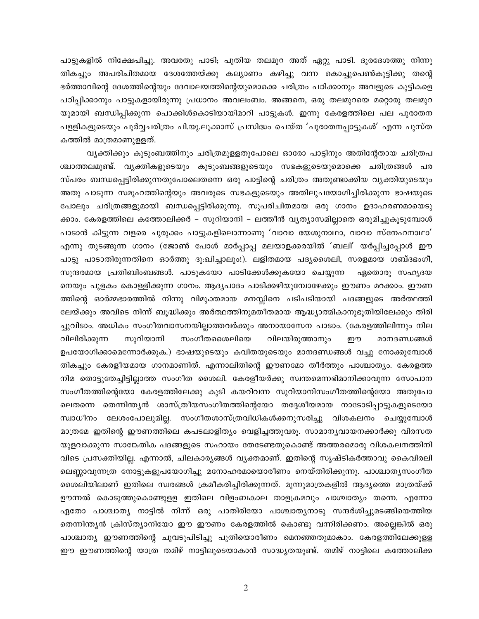പാട്ടുകളിൽ നിക്ഷേപിച്ചു. അവരതു പാടി; പുതിയ തലമുറ അത് ഏറ്റു പാടി. ദൂരദേശത്തു നിന്നു തികച്ചും അപരിചിതമായ ദേശത്തേയ്ക്കു കല്യാണം കഴിച്ചു വന്ന കൊച്ചുപെൺകുട്ടിക്കു തന്റെ ഭർത്താവിന്റെ ദേശത്തിന്റെയും ദേവാലയത്തിന്റെയുമൊക്കെ ചരിത്രം പഠിക്കാനും അവളുടെ കുട്ടികളെ പഠിപ്പിക്കാനും പാട്ടുകളായിരുന്നു പ്രധാനം അവലംബം. അങ്ങനെ, ഒരു തലമുറയെ മറ്റൊരു തലമുറ യുമായി ബന്ധിപ്പിക്കുന്ന പൊക്കിൾകൊടിയായിമാറി പാട്ടുകൾ. ഇന്നു കേരളത്തിലെ പല പുരാതന പളളികളുടെയും പൂർവ്വചരിത്രം പി.യു.ലൂക്കാസ് പ്രസിദ്ധം ചെയ്ത 'പുരാതനപ്പാട്ടുകൾ' എന്ന പുസ്ത കത്തിൽ മാത്രമാണുളളത്.

വൃക്തിക്കും കുടുംബത്തിനും ചരിത്രമുളളതുപോലെ ഓരോ പാട്ടിനും അതിന്റേതായ ചരിത്രപ ശ്ചാത്തലമുണ്ട്. വൃക്തികളുടെയും കുടുംബങ്ങളുടെയും സഭകളുടെയുമൊക്കെ ചരിത്രങ്ങൾ പര സ്പരം ബന്ധപ്പെട്ടിരിക്കുന്നതുപോലെതന്നെ ഒരു പാട്ടിന്റെ ചരിത്രം അതുണ്ടാക്കിയ വ്യക്തിയുടെയും അതു പാടുന്ന സമൂഹത്തിന്റെയും അവരുടെ സഭകളുടെയും അതിലുപയോഗിച്ചിരിക്കുന്ന ഭാഷയുടെ പോലും ചരിത്രങ്ങളുമായി ബന്ധപ്പെട്ടിരിക്കുന്നു. സുപരിചിതമായ ഒരു ഗാനം ഉദാഹരണമായെടു ക്കാം. കേരളത്തിലെ കത്തോലിക്കർ – സുറിയാനി – ലത്തീൻ വൃത്യാസമില്ലാതെ ഒരുമിച്ചുകൂടുമ്പോൾ പാടാൻ കിട്ടുന്ന വളരെ ചുരുക്കം പാട്ടുകളിലൊന്നാണു 'വാവാ യേശുനാഥാ, വാവാ സ്നേഹനാഥാ' എന്നു തുടങ്ങുന്ന ഗാനം (ജോൺ പോൾ മാർപ്പാപ്പ മലയാളക്കരയിൽ 'ബലി' യർപ്പിച്ചപ്പോൾ ഈ പാട്ടു പാടാതിരുന്നതിനെ ഓർത്തു ദു:ഖിച്ചാലും!). ലളിതമായ പദ്യശൈലി, സരളമായ ശബ്ദഭംഗി, സുന്ദരമായ പ്രതിബിംബങ്ങൾ. പാടുകയോ പാടിക്കേൾക്കുകയോ ചെയ്യുന്ന ഏതൊരു സഹൃദയ നെയും പുളകം കൊള്ളിക്കുന്ന ഗാനം. ആദ്യപാദം പാടിക്കഴിയുമ്പോഴേക്കും ഈണം മറക്കാം. ഈണ ത്തിന്റെ ഓർമ്മഭാരത്തിൽ നിന്നു വിമുക്തമായ മനസ്സിനെ പടിപടിയായി പദങ്ങളുടെ അർത്ഥത്തി ലേയ്ക്കും അവിടെ നിന്ന് ബൂദ്ധിക്കും അർത്ഥത്തിനുമതീതമായ ആദ്ധ്യാത്മികാനുഭൂതിയിലേക്കും തിരി ച്ചുവിടാം. അധികം സംഗീതവാസനയില്ലാത്തവർക്കും അനായാസേന പാടാം. (കേരളത്തിലിന്നും നില വിലിരിക്കുന്ന സുറിയാനി സംഗീതശൈലിയെ വിലയിരുത്താനും ഈ മാനദണ്ഡങ്ങൾ ഉപയോഗിക്കാമെന്നോർക്കുക.) ഭാഷയുടെയും കവിതയുടെയും മാനദണ്ഡങ്ങൾ വച്ചു നോക്കുമ്പോൾ തികച്ചും കേരളീയമായ ഗാനമാണിത്. എന്നാലിതിന്റെ ഈണമോ തീർത്തും പാശ്ചാതൃം. കേരളത്ത നിമ തൊട്ടുതേച്ചിട്ടില്ലാത്ത സംഗീത ശൈലി. കേരളീയർക്കു സ്വന്തമെന്നഭിമാനിക്കാവുന്ന സോപാന സംഗീതത്തിന്റെയോ കേരളത്തിലേക്കു കുടി കയറിവന്ന സുറിയാനിസംഗീതത്തിന്റെയോ അതുപോ ലെതന്നെ തെന്നിന്ത്യൻ ശാസ്ത്രീയസംഗീതത്തിന്റെയോ തദ്ദേശീയമായ നാടോടിപ്പാട്ടുകളുടെയോ സ്വാധീനം ലേശംപോലുമില്ല. സംഗീതശാസ്ത്രവിധികൾക്കനുസരിച്ചു വിശകലനം ചെയ്യുമ്പോൾ മാത്രമേ ഇതിന്റെ ഈണത്തിലെ കപടലാളിത്യം വെളിച്ചത്തുവരൂ. സാമാന്യവായനക്കാർക്കു വിരസത യുളവാക്കുന്ന സാങ്കേതിക പദങ്ങളുടെ സഹായം തേടേണ്ടതുകൊണ്ട് അത്തരമൊരു വിശകലനത്തിനി വിടെ പ്രസക്തിയില്ല. എന്നാൽ, ചിലകാര്യങ്ങൾ വ്യക്തമാണ്. ഇതിന്റെ സൃഷ്ടികർത്താവു കൈവിരലി ലെണ്ണാവുന്നത്ര നോട്ടുകളുപയോഗിച്ചു മനോഹരമായൊരീണം നെയ്തിരിക്കുന്നു. പാശ്ചാതൃസംഗീത ശൈലിയിലാണ് ഇതിലെ സ്വരങ്ങൾ ക്രമീകരിച്ചിരിക്കുന്നത്. മൂന്നുമാത്രകളിൽ ആദ്യത്തെ മാത്രയ്ക്ക് ഊന്നൽ കൊടുത്തുകൊണ്ടുളള ഇതിലെ വിളംബകാല താളക്രമവും പാശ്ചാത്യം തന്നെ. എന്നോ ഏതോ പാശ്ചാത്യ നാട്ടിൽ നിന്ന് ഒരു പാതിരിയോ പാശ്ചാത്യനാടു സന്ദർശിച്ചുമടങ്ങിയെത്തിയ തെന്നിന്ത്യൻ ക്രിസ്ത്യാനിയോ ഈ ഈണം കേരളത്തിൽ കൊണ്ടു വന്നിരിക്കണം. അല്ലെങ്കിൽ ഒരു പാശ്ചാത്യ ഈണത്തിന്റെ ചുവടുപിടിച്ചു പുതിയൊരീണം മെനഞ്ഞതുമാകാം. കേരളത്തിലേക്കുളള ഈ ഈണത്തിന്റെ യാത്ര തമിഴ് നാട്ടിലൂടെയാകാൻ സാദ്ധ്യതയുണ്ട്. തമിഴ് നാട്ടിലെ കത്തോലിക്ക

 $\overline{2}$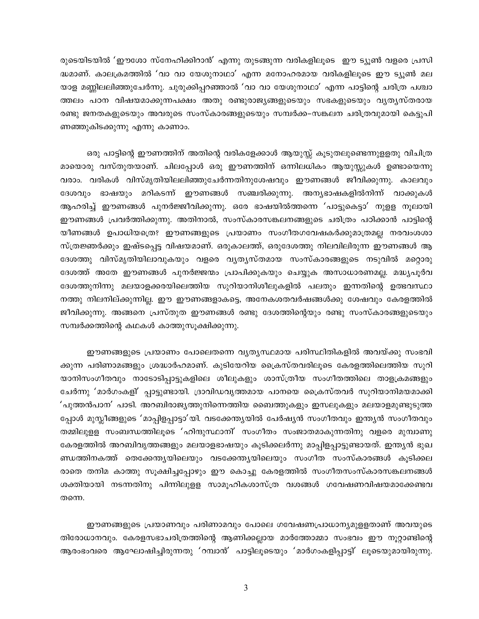രുടെയിടയിൽ 'ഈശോ സ്നേഹിക്കിറാൻ' എന്നു തുടങ്ങുന്ന വരികളിലൂടെ ഈ ട്യൂൺ വളരെ പ്രസി ദ്ധമാണ്. കാലക്രമത്തിൽ 'വാ വാ യേശുനാഥാ' എന്ന മനോഹരമായ വരികളിലൂടെ ഈ ട്യൂൺ മല യാള മണ്ണിലലിഞ്ഞുചേർന്നു. ചുരുക്കിപ്പറഞ്ഞാൽ 'വാ വാ യേശുനാഥാ' എന്ന പാട്ടിന്റെ ചരിത്ര പശ്ചാ ത്തലം പഠന വിഷയമാക്കുന്നപക്ഷം അതു രണ്ടുരാജൃങ്ങളുടെയും സഭകളുടെയും വൃതൃസ്തരായ രണ്ടു ജനതകളുടെയും അവരുടെ സംസ്കാരങ്ങളുടെയും സമ്പർക്ക–സങ്കലന ചരിത്രവുമായി കെട്ടുപി ണഞ്ഞുകിടക്കുന്നു എന്നു കാണാം.

ഒരു പാട്ടിന്റെ ഈണത്തിന് അതിന്റെ വരികളേക്കാൾ ആയുസ്സ് കൂടുതലുണ്ടെന്നുളളതു വിചിത്ര മായൊരു വസ്തുതയാണ്. ചിലപ്പോൾ ഒരു ഈണത്തിന് ഒന്നിലധികം ആയുസ്സുകൾ ഉണ്ടായെന്നു വരാം. വരികൾ വിസ്മൃതിയിലലിഞ്ഞുചേർന്നതിനുശേഷവും ഈണങ്ങൾ ജീവിക്കുന്നു. കാലവും ദേശവും ഭാഷയും മറികടന്ന് ഈണങ്ങൾ സഞ്ചരിക്കുന്നു. അന്യഭാഷകളിൽനിന്ന് വാക്കുകൾ ആഹരിച്ച് ഈണങ്ങൾ പുനർജ്ജീവിക്കുന്നു. ഒരേ ഭാഷയിൽത്തന്നെ 'പാട്ടുകെട്ടാ' നുളള നൂലായി ഈണങ്ങൾ പ്രവർത്തിക്കുന്നു. അതിനാൽ, സംസ്കാരസങ്കലനങ്ങളുടെ ചരിത്രം പഠിക്കാൻ പാട്ടിന്റെ യീണങ്ങൾ ഉപാധിയത്രെ? ഈണങ്ങളുടെ പ്രയാണം സംഗീതഗവേഷകർക്കുമാത്രമല്ല നരവംശശാ സ്ത്രജ്ഞർക്കും ഇഷ്ടപ്പെട്ട വിഷയമാണ്. ഒരുകാലത്ത്, ഒരുദേശത്തു നിലവിലിരുന്ന ഈണങ്ങൾ ആ ദേശത്തു വിസ്മൃതിയിലാവുകയും വളരെ വൃതൃസ്തമായ സംസ്കാരങ്ങളുടെ നടുവിൽ മറ്റൊരു ദേശത്ത് അതേ ഈണങ്ങൾ പുനർജ്ജന്മം പ്രാപിക്കുകയും ചെയ്യുക അസാധാരണമല്ല. മദ്ധ്യപൂർവ ദേശത്തുനിന്നു മലയാളക്കരയിലെത്തിയ സുറിയാനിശീലുകളിൽ പലതും ഇന്നതിന്റെ ഉത്ഭവസ്ഥാ നത്തു നിലനില്ക്കുന്നില്ല. ഈ ഈണങ്ങളാകട്ടെ, അനേകശതവർഷങ്ങൾക്കു ശേഷവും കേരളത്തിൽ ജീവിക്കുന്നു. അങ്ങനെ പ്രസ്തുത ഈണങ്ങൾ രണ്ടു ദേശത്തിന്റെയും രണ്ടു സംസ്കാരങ്ങളുടെയും സമ്പർക്കത്തിന്റെ കഥകൾ കാത്തുസൂക്ഷിക്കുന്നു.

ഈണങ്ങളുടെ പ്രയാണം പോലെതന്നെ വൃതൃസ്ഥമായ പരിസ്ഥിതികളിൽ അവയ്ക്കു സംഭവി ക്കുന്ന പരിണാമങ്ങളും ശ്രദ്ധാർഹമാണ്. കുടിയേറിയ ക്രൈസ്തവരിലൂടെ കേരളത്തിലെത്തിയ സുറി യാനിസംഗീതവും നാടോടിപ്പാട്ടുകളിലെ ശീലുകളും ശാസ്ത്രീയ സംഗീതത്തിലെ താളക്രമങ്ങളും ചേർന്നു 'മാർഗംകളി' പ്പാട്ടുണ്ടായി. ദ്രാവിഡവൃത്തമായ പാനയെ ക്രൈസ്തവർ സുറിയാനിമയമാക്കി 'പുത്തൻപാന' പാടി. അറബിരാജൃത്തുനിന്നെത്തിയ ബൈത്തുകളും ഇസലുകളും മലയാളമുണ്ടുടുത്ത പ്പോൾ മുസ്ലീങ്ങളുടെ 'മാപ്പിളപ്പാട്ടാ'യി. വടക്കേന്ത്യയിൽ പേർഷ്യൻ സംഗീതവും ഇന്ത്യൻ സംഗീതവും തമ്മിലുളള സംബന്ധത്തിലൂടെ 'ഹിന്ദുസ്ഥാനി' സംഗീതം സംജാതമാകുന്നതിനു വളരെ മുമ്പാണു കേരളത്തിൽ അറബിവൃത്തങ്ങളും മലയാളഭാഷയും കൂടിക്കലർന്നു മാപ്പിളപ്പാട്ടുണ്ടായത്. ഇന്ത്യൻ ഭുഖ ണ്ഡത്തിനകത്ത് തെക്കേന്തൃയിലെയും വടക്കേന്തൃയിലെയും സംഗീത സംസ്കാരങ്ങൾ കൂടിക്കല രാതെ തനിമ കാത്തു സൂക്ഷിച്ചപ്പോഴും ഈ കൊച്ചു കേരളത്തിൽ സംഗീതസംസ്കാരസങ്കലനങ്ങൾ ശക്തിയായി നടന്നതിനു പിന്നിലുളള സാമൂഹികശാസ്ത്ര വശങ്ങൾ ഗവേഷണവിഷയമാക്കേണ്ടവ തന്നെ.

ഈണങ്ങളുടെ പ്രയാണവും പരിണാമവും പോലെ ഗവേഷണപ്രാധാന്യമുളളതാണ് അവയുടെ തിരോധാനവും. കേരളസഭാചരിത്രത്തിന്റെ ആണിക്കല്ലായ മാർത്തോമ്മാ സംഭവം ഈ നൂറ്റാണ്ടിന്റെ ആരംഭംവരെ ആഘോഷിച്ചിരുന്നതു 'റമ്പാൻ' പാട്ടിലൂടെയും 'മാർഗംകളിപ്പാട്ടി' ലൂടെയുമായിരുന്നു.

3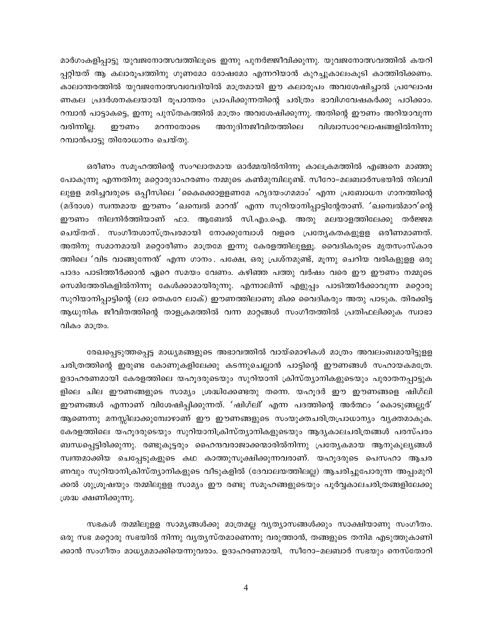മാർഗംകളിപ്പാട്ടു യുവജനോത്സവത്തിലൂടെ ഇന്നു പുനർജ്ജീവിക്കുന്നു. യുവജനോത്സവത്തിൽ കയറി പ്പറ്റിയത് ആ കലാരൂപത്തിനു ഗുണമോ ദോഷമോ എന്നറിയാൻ കുറച്ചുകാലംകൂടി കാത്തിരിക്കണം. കാലാന്തരത്തിൽ യുവജനോത്സവവേദിയിൽ മാത്രമായി ഈ കലാരൂപം അവശേഷിച്ചാൽ പ്രഘോഷ ണകല പ്രദർശനകലയായി രൂപാന്തരം പ്രാപിക്കുന്നതിന്റെ ചരിത്രം ഭാവിഗവേഷകർക്കു പഠിക്കാം. റമ്പാൻ പാട്ടാകട്ടെ, ഇന്നു പുസ്തകത്തിൽ മാത്രം അവശേഷിക്കുന്നു. അതിന്റെ ഈണം അറിയാവുന്ന അനുദിനജീവിതത്തിലെ വരിന്നില്ല. ഈണം മറന്നതോടെ വിശ്വാസാഘോഷങ്ങളിൽനിന്നു റമ്പാൻപാട്ടു തിരോധാനം ചെയ്തു.

ഒരീണം സമൂഹത്തിന്റെ സംഘാതമായ ഓർമ്മയിൽനിന്നു കാലക്രമത്തിൽ എങ്ങനെ മാഞ്ഞു പോകുന്നു എന്നതിനു മറ്റൊരുദാഹരണം നമ്മുടെ കൺമുമ്പിലുണ്ട്. സീറോ–മലബാർസഭയിൽ നിലവി ലുളള മരിച്ചവരുടെ ഒപ്പീസിലെ 'കൈക്കൊളളണമേ ഹൃദയംഗമമാം' എന്ന പ്രബോധന ഗാനത്തിന്റെ (മദ്രാശ) സ്വന്തമായ ഈണം 'ഖമ്പെൽ മാറൻ' എന്ന സുറിയാനിപ്പാട്ടിന്റേതാണ്. 'ഖമ്പെൽമാറ'ന്റെ ഈണം നിലനിർത്തിയാണ് ഫാ. ആബേൽ സി.എം.ഐ. അതു മലയാളത്തിലേക്കു തർജ്ജമ ചെയ്തത് . സംഗീതശാസ്ത്രപരമായി നോക്കുമ്പോൾ വളരെ പ്രത്യേകതകളുള്ള ഒരീണമാണത്. അതിനു സമാനമായി മറ്റൊരീണം മാത്രമേ ഇന്നു കേരളത്തിലുള്ളൂ. വൈദികരുടെ മൃതസംസ്കാര ത്തിലെ 'വിട വാങ്ങുന്നേൻ' എന്ന ഗാനം . പക്ഷേ, ഒരു പ്രശ്നമുണ്ട്, മൂന്നു ചെറിയ വരികളുളള ഒരു പാദം പാടിത്തീർക്കാൻ ഏറെ സമയം വേണം. കഴിഞ്ഞ പത്തു വർഷം വരെ ഈ ഈണം നമ്മുടെ സെമിത്തേരികളിൽനിന്നു കേൾക്കാമായിരുന്നു. എന്നാലിന്ന് എളുപ്പം പാടിത്തീർക്കാവുന്ന മറ്റൊരു സുറിയാനിപ്പാട്ടിന്റെ (ലാ തെകറേ ലാക്) ഈണത്തിലാണു മിക്ക വൈദികരും അതു പാടുക. തിരക്കിട്ട ആധുനിക ജീവിതത്തിന്റെ താളക്രമത്തിൽ വന്ന മാറ്റങ്ങൾ സംഗീതത്തിൽ പ്രതിഫലിക്കുക സ്വാഭാ വികം മാത്രം.

രേഖപ്പെടുത്തപ്പെട്ട മാധ്യമങ്ങളുടെ അഭാവത്തിൽ വായ്മൊഴികൾ മാത്രം അവലംബമായിട്ടുളള ചരിത്രത്തിന്റെ ഇരുണ്ട കോണുകളിലേക്കു കടന്നുചെല്ലാൻ പാട്ടിന്റെ ഈണങ്ങൾ സഹായകമത്രേ. ഉദാഹരണമായി കേരളത്തിലെ യഹൂദരുടെയും സുറിയാനി ക്രിസ്ത്യാനികളുടെയും പുരാതനപ്പാട്ടുക ളിലെ ചില ഈണങ്ങളുടെ സാമ്യം ശ്രദ്ധിക്കേണ്ടതു തന്നെ. യഹൂദർ ഈ ഈണങ്ങളെ ഷിഗ്ലി ഈണങ്ങൾ എന്നാണ് വിശേഷിപ്പിക്കുന്നത്. 'ഷിഗ്ലി' എന്ന പദത്തിന്റെ അർത്ഥം 'കൊടുങ്ങല്ലൂർ' ആണെന്നു മനസ്സിലാക്കുമ്പോഴാണ് ഈ ഈണങ്ങളുടെ സംയുക്തചരിത്രപ്രാധാന്യം വ്യക്തമാകുക. കേരളത്തിലെ യഹൂദരുടെയും സുറിയാനിക്രിസ്ത്യാനികളുടെയും ആദൃകാലചരിത്രങ്ങൾ പരസ്പരം ബന്ധപ്പെട്ടിരിക്കുന്നു. രണ്ടുകൂട്ടരും ഹൈന്ദവരാജാക്കന്മാരിൽനിന്നു പ്രത്യേകമായ ആനുകൂല്യങ്ങൾ സ്വന്തമാക്കിയ ചെപ്പേടുകളുടെ കഥ കാത്തുസൂക്ഷിക്കുന്നവരാണ്. യഹൂദരുടെ പെസഹാ ആചര ണവും സുറിയാനിക്രിസ്ത്യാനികളുടെ വീടുകളിൽ (ദേവാലയത്തിലല്ല) ആചരിച്ചുപോരുന്ന അപ്പംമുറി ക്കൽ ശുശ്രൂഷയും തമ്മിലുളള സാമ്യം ഈ രണ്ടു സമൂഹങ്ങളുടെയും പൂർവ്വകാലചരിത്രങ്ങളിലേക്കു ശ്രദ്ധ ക്ഷണിക്കുന്നു.

സഭകൾ തമ്മിലുളള സാമൃങ്ങൾക്കു മാത്രമല്ല വൃത്യാസങ്ങൾക്കും സാക്ഷിയാണു സംഗീതം. ഒരു സഭ മറ്റൊരു സഭയിൽ നിന്നു വൃതൃസ്തമാണെന്നു വരുത്താൻ, തങ്ങളുടെ തനിമ എടുത്തുകാണി ക്കാൻ സംഗീതം മാധ്യമമാക്കിയെന്നുവരാം. ഉദാഹരണമായി, സീറോ–മലബാർ സഭയും നെസ്തോറി

 $\overline{4}$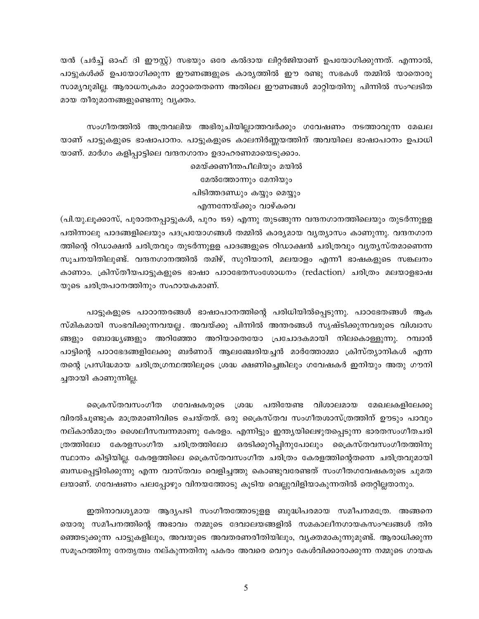യൻ (ചർച്ച് ഓഫ് ദി ഈസ്റ്റ്) സഭയും ഒരേ കൽദായ ലിറ്റർജിയാണ് ഉപയോഗിക്കുന്നത്. എന്നാൽ, പാട്ടുകൾക്ക് ഉപയോഗിക്കുന്ന ഈണങ്ങളുടെ കാര്യത്തിൽ ഈ രണ്ടു സഭകൾ തമ്മിൽ യാതൊരു സാമ്യവുമില്ല. ആരാധനക്രമം മാറ്റാതെതന്നെ അതിലെ ഈണങ്ങൾ മാറ്റിയതിനു പിന്നിൽ സംഘടിത മായ തീരുമാനങ്ങളുണ്ടെന്നു വ്യക്തം.

സംഗീതത്തിൽ അത്രവലിയ അഭിരുചിയില്ലാത്തവർക്കും ഗവേഷണം നടത്താവുന്ന മേഖല യാണ് പാട്ടുകളുടെ ഭാഷാപഠനം. പാട്ടുകളുടെ കാലനിർണ്ണയത്തിന് അവയിലെ ഭാഷാപഠനം ഉപാധി യാണ്. മാർഗം കളിപ്പാട്ടിലെ വന്ദനഗാനം ഉദാഹരണമായെടുക്കാം.

> മെയ്ക്കണീന്തപീലിയും മയിൽ മേൽത്തോന്നും മേനിയും പിടിത്തദണ്ഡും കയ്യും മെയ്യും

എന്നന്നേയ്ക്കും വാഴ്കവെ

(പി.യു.ലൂക്കാസ്, പുരാതനപ്പാട്ടുകൾ, പുറം 159) എന്നു തുടങ്ങുന്ന വന്ദനഗാനത്തിലെയും തുടർന്നുളള പതിന്നാലു പാദങ്ങളിലെയും പദപ്രയോഗങ്ങൾ തമ്മിൽ കാര്യമായ വൃത്യാസം കാണുന്നു. വന്ദനഗാന ത്തിന്റെ റിഡാക്ഷൻ ചരിത്രവും തുടർന്നുളള പാദങ്ങളുടെ റിഡാക്ഷൻ ചരിത്രവും വ്യതൃസ്തമാണെന്ന സുചനയിതിലുണ്ട്. വന്ദനഗാനത്തിൽ തമിഴ്, സുറിയാനി, മലയാളം എന്നീ ഭാഷകളുടെ സങ്കലനം കാണാം. ക്രിസ്തീയപാട്ടുകളുടെ ഭാഷാ പാഠഭേതസംശോധനം (redaction) ചരിത്രം മലയാളഭാഷ യുടെ ചരിത്രപഠനത്തിനും സഹായകമാണ്.

പാട്ടുകളുടെ പാഠാന്തരങ്ങൾ ഭാഷാപഠനത്തിന്റെ പരിധിയിൽപ്പെടുന്നു. പാഠഭേതങ്ങൾ ആക സ്മികമായി സംഭവിക്കുന്നവയല്ല. അവയ്ക്കു പിന്നിൽ അന്തരങ്ങൾ സൃഷ്ടിക്കുന്നവരുടെ വിശ്വാസ ങ്ങളും ബോദ്ധ്യങ്ങളും അറിഞ്ഞോ അറിയാതെയോ പ്രചോദകമായി നിലകൊള്ളുന്നു. റമ്പാൻ പാട്ടിന്റെ പാഠഭേദങ്ങളിലേക്കു ബർണാദ് ആലഞ്ചേരിയച്ചൻ മാർത്തോമ്മാ ക്രിസ്ത്യാനികൾ എന്ന തന്റെ പ്രസിദ്ധമായ ചരിത്രഗ്രന്ഥത്തിലൂടെ ശ്രദ്ധ ക്ഷണിച്ചെങ്കിലും ഗവേഷകർ ഇനിയും അതു ഗൗനി ച്ചതായി കാണുന്നില്ല.

കൈസ്തവസംഗീത ഗവേഷകരുടെ ശ്രദ്ധ പതിയേണ്ട വിശാലമായ മേഖലകളിലേക്കു വിരൽചൂണ്ടുക മാത്രമാണിവിടെ ചെയ്തത്. ഒരു ക്രൈസ്തവ സംഗീതശാസ്ത്രത്തിന് ഊടും പാവും നല്കാൻമാത്രം ശൈലീസമ്പന്നമാണു കേരളം. എന്നിട്ടും ഇന്ത്യയിലെഴുതപ്പെടുന്ന ഭാരതസംഗീതചരി ത്രത്തിലോ കേരളസംഗീത ചരിത്രത്തിലോ ഒരടിക്കുറിപ്പിനുപോലും ക്രൈസ്തവസംഗീതത്തിനു സ്ഥാനം കിട്ടിയില്ല. കേരളത്തിലെ ക്രൈസ്തവസംഗീത ചരിത്രം കേരളത്തിന്റെതന്നെ ചരിത്രവുമായി ബന്ധപ്പെട്ടിരിക്കുന്നു എന്ന വാസ്തവം വെളിച്ചത്തു കൊണ്ടുവരേണ്ടത് സംഗീതഗവേഷകരുടെ ചുമത ലയാണ്. ഗവേഷണം പലപ്പോഴും വിനയത്തോടു കൂടിയ വെല്ലുവിളിയാകുന്നതിൽ തെറ്റില്ലതാനും.

ഇതിനാവശ്യമായ ആദ്യപടി സംഗീതത്തോടുളള ബുദ്ധിപരമായ സമീപനമത്രേ. അങ്ങനെ യൊരു സമീപനത്തിന്റെ അഭാവം നമ്മുടെ ദേവാലയങ്ങളിൽ സമകാലീനഗായകസംഘങ്ങൾ തിര ഞ്ഞെടുക്കുന്ന പാട്ടുകളിലും, അവയുടെ അവതരണരീതിയിലും, വ്യക്തമാകുന്നുമുണ്ട്. ആരാധിക്കുന്ന സമൂഹത്തിനു നേതൃത്വം നല്കുന്നതിനു പകരം അവരെ വെറും കേൾവിക്കാരാക്കുന്ന നമ്മുടെ ഗായക

5